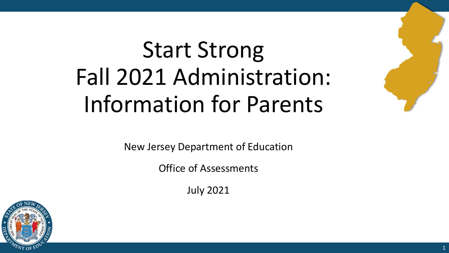# Start Strong Fall 2021 Administration: Information for Parents



Office of Assessments

July 2021



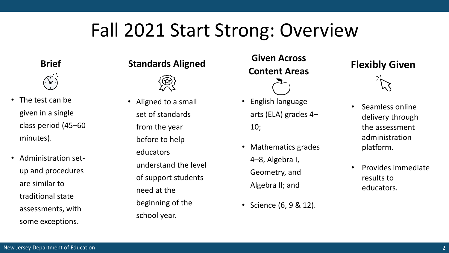## Fall 2021 Start Strong: Overview

**Brief**



- The test can be given in a single class period (45–60 minutes).
- Administration setup and procedures are similar to traditional state assessments, with some exceptions.

#### **Standards Aligned**



• Aligned to a small set of standards from the year before to help educators understand the level of support students need at the beginning of the school year.

#### **Given Across Content Areas**

- English language arts (ELA) grades 4– 10;
- Mathematics grades 4–8, Algebra I, Geometry, and Algebra II; and
- Science (6, 9 & 12).

#### **Flexibly Given**



- Seamless online delivery through the assessment administration platform.
- Provides immediate results to educators.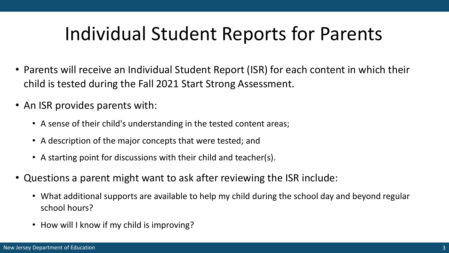# Individual Student Reports for Parents

- Parents will receive an Individual Student Report (ISR) for each content in which their child is tested during the Fall 2021 Start Strong Assessment.
- An ISR provides parents with:
	- A sense of their child's understanding in the tested content areas;
	- A description of the major concepts that were tested; and
	- A starting point for discussions with their child and teacher(s).
- Questions a parent might want to ask after reviewing the ISR include:
	- What additional supports are available to help my child during the school day and beyond regular school hours?
	- How will I know if my child is improving?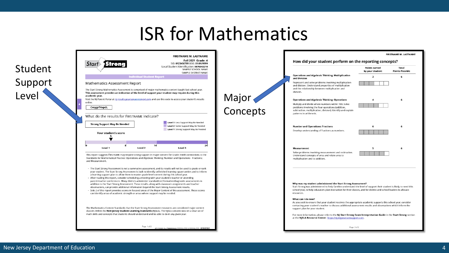#### ISR for Mathematics

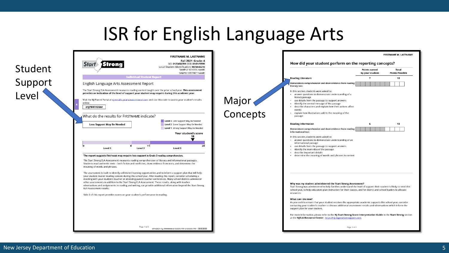### ISR for English Language Arts

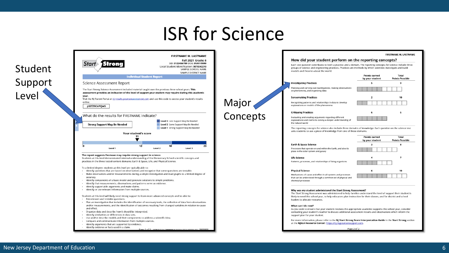### ISR for Science

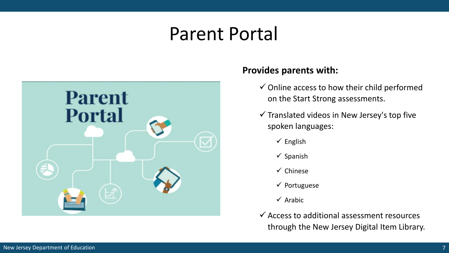### Parent Portal



#### **Provides parents with:**

- $\checkmark$  Online access to how their child performed on the Start Strong assessments.
- $\checkmark$  Translated videos in New Jersey's top five spoken languages:
	- $\checkmark$  English
	- $\checkmark$  Spanish
	- $\checkmark$  Chinese
	- $\checkmark$  Portuguese
	- $\checkmark$  Arabic
- $\checkmark$  Access to additional assessment resources through the New Jersey Digital Item Library.